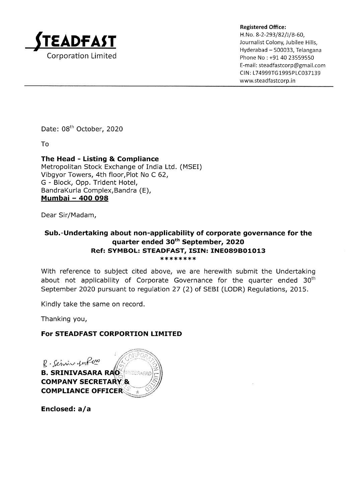

Registered Office:<br>
H.No. 8-2-293/82/J/B-60,<br>
Journalist Colony, Jubilee Hills, Hyderabad - 500033, Telangana Phone No: +91 40 23559550 E-mail : steadfastcorp@gmail.com CIN: L74999TG1995PLC037139 www.steadfastcorp. in

Date: 08<sup>th</sup> October, 2020

To

The Head - Listing & Compliance Metropolitan Stock Exchange of India Ltd. (MSEI) Vibgyor Towers, 4th floor,Plot No C 62, G - Block, Opp. Trident Hotel, BandraKurla Complex,Bandra (E), Mumbai - 4OO O98

Dear Sir/Madam,

# Sub.-Undertaking about non-applicability of corporate governance for the quarter ended 3oth September, 2O2O Ref: SYMBOL: STEADFAST, ISIN: INEO89BO1O13 \*\* \*\*\*\*\*\*

With reference to subject cited above, we are herewith submit the Undertaking about not applicability of Corporate Governance for the quarter ended  $30<sup>th</sup>$ September 2Q2O pursuant to regulation 27 (2) of SEBI (LODR) Regulations, 2015.

Kindly take the same on record.

Thanking you,

### For STEADFAST CORPORTION LIMITED

B-Servin ferPom **B. SRINIVASARA RAO INDERABAR COMPANY SECRETARY &** COMPLIANCE OFFICE

Enclosed: a/a